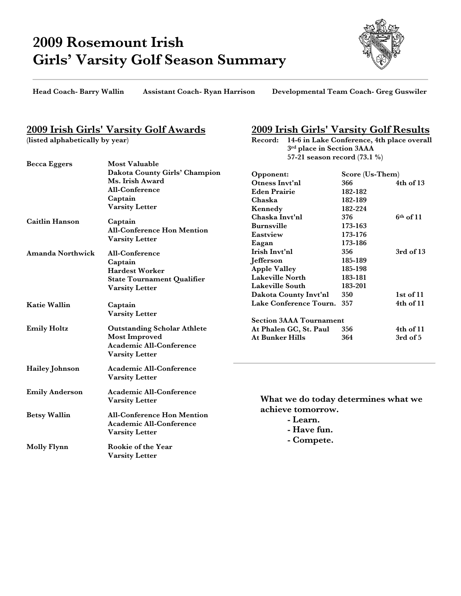# **2009 Rosemount Irish Girls' Varsity Golf Season Summary**



**Head Coach- Barry Wallin Assistant Coach- Ryan Harrison Developmental Team Coach- Greg Guswiler**

## **2009 Irish Girls' Varsity Golf Awards**

**(listed alphabetically by year)**

| <b>Becca Eggers</b>   | <b>Most Valuable</b><br>Dakota County Girls' Champion<br>Ms. Irish Award<br><b>All-Conference</b><br>Captain<br><b>Varsity Letter</b> |
|-----------------------|---------------------------------------------------------------------------------------------------------------------------------------|
| <b>Caitlin Hanson</b> | Captain<br><b>All-Conference Hon Mention</b><br><b>Varsity Letter</b>                                                                 |
| Amanda Northwick      | <b>All-Conference</b><br>Captain<br><b>Hardest Worker</b><br><b>State Tournament Qualifier</b><br><b>Varsity Letter</b>               |
| <b>Katie Wallin</b>   | Captain<br><b>Varsity Letter</b>                                                                                                      |
| <b>Emily Holtz</b>    | <b>Outstanding Scholar Athlete</b><br>Most Improved<br>Academic All-Conference<br><b>Varsity Letter</b>                               |
| Hailey Johnson        | <b>Academic All-Conference</b><br><b>Varsity Letter</b>                                                                               |
| <b>Emily Anderson</b> | <b>Academic All-Conference</b><br><b>Varsity Letter</b>                                                                               |
| <b>Betsy Wallin</b>   | <b>All-Conference Hon Mention</b><br>Academic All-Conference<br><b>Varsity Letter</b>                                                 |
| Molly Flynn           | Rookie of the Year<br><b>Varsity Letter</b>                                                                                           |

## **2009 Irish Girls' Varsity Golf Results**

**Record: 14-6 in Lake Conference, 4th place overall 3rd place in Section 3AAA 57-21 season record (73.1 %)**

| Opponent:                      | Score (Us-Them) |               |  |  |
|--------------------------------|-----------------|---------------|--|--|
| Otness Invt'nl                 | 366             | 4th of 13     |  |  |
| Eden Prairie                   | 182-182         |               |  |  |
| Chaska                         | 182-189         |               |  |  |
| Kennedy                        | 182-224         |               |  |  |
| Chaska Invt'nl                 | 376             | $6th$ of 11   |  |  |
| <b>Burnsville</b>              | 173-163         |               |  |  |
| Eastview                       | 173-176         |               |  |  |
| Eagan                          | 173-186         |               |  |  |
| Irish Invt'nl                  | 356             | 3rd of 13     |  |  |
| <b>Jefferson</b>               | 185-189         |               |  |  |
| <b>Apple Valley</b>            | 185-198         |               |  |  |
| <b>Lakeville North</b>         | 183-181         |               |  |  |
| Lakeville South                | 183-201         |               |  |  |
| Dakota County Invt'nl          | 350             | $1st$ of $11$ |  |  |
| Lake Conference Tourn.         | 357             | 4th of 11     |  |  |
| <b>Section 3AAA Tournament</b> |                 |               |  |  |
| At Phalen GC, St. Paul         | 356             | 4th of 11     |  |  |
| <b>At Bunker Hills</b>         | 364             | $3rd$ of $5$  |  |  |
|                                |                 |               |  |  |

**What we do today determines what we achieve tomorrow. - Learn.**

- **Have fun.**
- **Compete.**